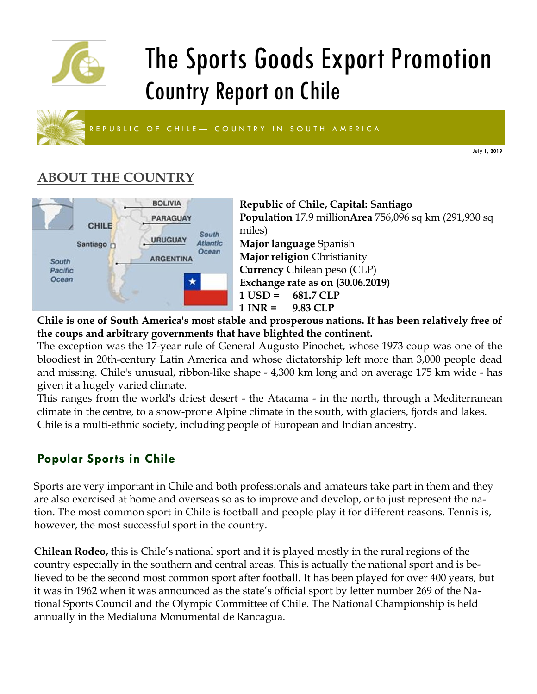

# The Sports Goods Export Promotion Country Report on Chile



**July 1, 2019**

# **ABOUT THE COUNTRY**



**Republic of Chile, Capital: Santiago Population** 17.9 million**Area** 756,096 sq km (291,930 sq miles) **Major language** Spanish **Major religion** Christianity **Currency** Chilean peso (CLP) **Exchange rate as on (30.06.2019) 1 USD = 681.7 CLP 1 INR = 9.83 CLP** 

**Chile is one of South America's most stable and prosperous nations. It has been relatively free of the coups and arbitrary governments that have blighted the continent.**

The exception was the 17-year rule of General Augusto Pinochet, whose 1973 coup was one of the bloodiest in 20th-century Latin America and whose dictatorship left more than 3,000 people dead and missing. Chile's unusual, ribbon-like shape - 4,300 km long and on average 175 km wide - has given it a hugely varied climate.

This ranges from the world's driest desert - the Atacama - in the north, through a Mediterranean climate in the centre, to a snow-prone Alpine climate in the south, with glaciers, fjords and lakes. Chile is a multi-ethnic society, including people of European and Indian ancestry.

## **Popular Sports in Chile**

Sports are very important in Chile and both professionals and amateurs take part in them and they are also exercised at home and overseas so as to improve and develop, or to just represent the nation. The most common sport in Chile is football and people play it for different reasons. Tennis is, however, the most successful sport in the country.

**Chilean Rodeo, t**his is Chile's national sport and it is played mostly in the rural regions of the country especially in the southern and central areas. This is actually the national sport and is believed to be the second most common sport after football. It has been played for over 400 years, but it was in 1962 when it was announced as the state's official sport by letter number 269 of the National Sports Council and the Olympic Committee of Chile. The National Championship is held annually in the Medialuna Monumental de Rancagua.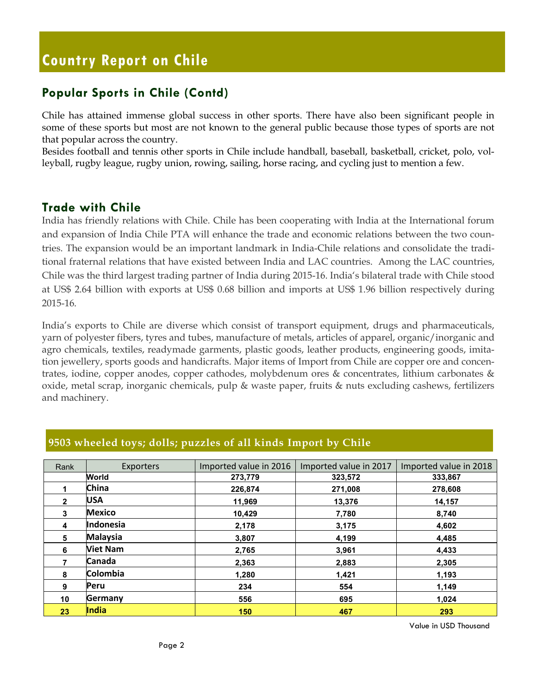### **Popular Sports in Chile (Contd)**

Chile has attained immense global success in other sports. There have also been significant people in some of these sports but most are not known to the general public because those types of sports are not that popular across the country.

Besides football and tennis other sports in Chile include handball, baseball, basketball, cricket, polo, volleyball, rugby league, rugby union, rowing, sailing, horse racing, and cycling just to mention a few.

#### **Trade with Chile**

India has friendly relations with Chile. Chile has been cooperating with India at the International forum and expansion of India Chile PTA will enhance the trade and economic relations between the two countries. The expansion would be an important landmark in India-Chile relations and consolidate the traditional fraternal relations that have existed between India and LAC countries. Among the LAC countries, Chile was the third largest trading partner of India during 2015-16. India's bilateral trade with Chile stood at US\$ 2.64 billion with exports at US\$ 0.68 billion and imports at US\$ 1.96 billion respectively during 2015-16.

India's exports to Chile are diverse which consist of transport equipment, drugs and pharmaceuticals, yarn of polyester fibers, tyres and tubes, manufacture of metals, articles of apparel, organic/inorganic and agro chemicals, textiles, readymade garments, plastic goods, leather products, engineering goods, imitation jewellery, sports goods and handicrafts. Major items of Import from Chile are copper ore and concentrates, iodine, copper anodes, copper cathodes, molybdenum ores & concentrates, lithium carbonates & oxide, metal scrap, inorganic chemicals, pulp & waste paper, fruits & nuts excluding cashews, fertilizers and machinery.

| Rank           | <b>Exporters</b> | Imported value in 2016 | Imported value in 2017 | Imported value in 2018 |
|----------------|------------------|------------------------|------------------------|------------------------|
|                | World            | 273,779                | 323,572                | 333,867                |
|                | <b>China</b>     | 226,874                | 271,008                | 278,608                |
| $\overline{2}$ | <b>USA</b>       | 11,969                 | 13,376                 | 14,157                 |
| 3              | <b>Mexico</b>    | 10,429                 | 7,780                  | 8,740                  |
| 4              | Indonesia        | 2,178                  | 3,175                  | 4,602                  |
| 5              | <b>Malaysia</b>  | 3,807                  | 4,199                  | 4,485                  |
| 6              | <b>Viet Nam</b>  | 2,765                  | 3,961                  | 4,433                  |
| 7              | <b>Canada</b>    | 2,363                  | 2,883                  | 2,305                  |
| 8              | <b>Colombia</b>  | 1,280                  | 1,421                  | 1,193                  |
| 9              | <b>Peru</b>      | 234                    | 554                    | 1,149                  |
| 10             | Germany          | 556                    | 695                    | 1,024                  |
| 23             | India            | 150                    | 467                    | 293                    |

#### **9503 wheeled toys; dolls; puzzles of all kinds Import by Chile**

Value in USD Thousand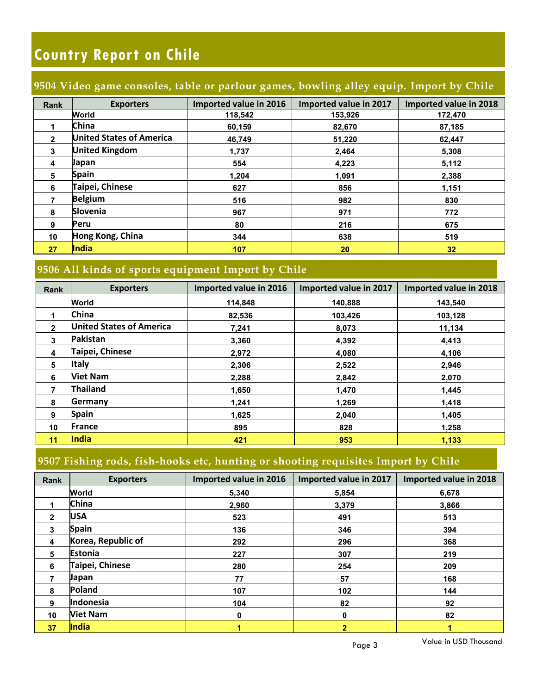#### **9504 Video game consoles, table or parlour games, bowling alley equip. Import by Chile**

| <b>Rank</b>             | <b>Exporters</b>                | Imported value in 2016 | Imported value in 2017 | Imported value in 2018 |
|-------------------------|---------------------------------|------------------------|------------------------|------------------------|
|                         | World                           | 118.542                | 153,926                | 172,470                |
|                         | <b>China</b>                    | 60,159                 | 82,670                 | 87,185                 |
| $\mathbf{2}$            | <b>United States of America</b> | 46.749                 | 51,220                 | 62,447                 |
| 3                       | <b>United Kingdom</b>           | 1,737                  | 2,464                  | 5,308                  |
| $\overline{\mathbf{4}}$ | Japan                           | 554                    | 4,223                  | 5,112                  |
| 5                       | <b>Spain</b>                    | 1.204                  | 1,091                  | 2,388                  |
| 6                       | Taipei, Chinese                 | 627                    | 856                    | 1.151                  |
|                         | <b>Belgium</b>                  | 516                    | 982                    | 830                    |
| 8                       | <b>Slovenia</b>                 | 967                    | 971                    | 772                    |
| 9                       | Peru                            | 80                     | 216                    | 675                    |
| 10                      | Hong Kong, China                | 344                    | 638                    | 519                    |
| 27                      | <b>India</b>                    | 107                    | 20                     | 32                     |

## **9506 All kinds of sports equipment Import by Chile**

| Rank           | <b>Exporters</b>                | Imported value in 2016 | Imported value in 2017 | Imported value in 2018 |
|----------------|---------------------------------|------------------------|------------------------|------------------------|
|                | World                           | 114.848                | 140.888                | 143.540                |
|                | <b>China</b>                    | 82,536                 | 103,426                | 103,128                |
| $\overline{2}$ | <b>United States of America</b> | 7,241                  | 8,073                  | 11,134                 |
| $\mathbf{3}$   | <b>Pakistan</b>                 | 3,360                  | 4,392                  | 4,413                  |
| 4              | Taipei, Chinese                 | 2,972                  | 4,080                  | 4,106                  |
| 5              | <b>Italy</b>                    | 2,306                  | 2,522                  | 2,946                  |
| 6              | <b>Viet Nam</b>                 | 2,288                  | 2,842                  | 2,070                  |
|                | <b>Thailand</b>                 | 1,650                  | 1,470                  | 1,445                  |
| 8              | Germany                         | 1.241                  | 1,269                  | 1,418                  |
| 9              | <b>Spain</b>                    | 1,625                  | 2,040                  | 1,405                  |
| 10             | <b>France</b>                   | 895                    | 828                    | 1,258                  |
| 11             | India                           | 421                    | 953                    | 1.133                  |

#### **9507 Fishing rods, fish-hooks etc, hunting or shooting requisites Import by Chile**

| Rank         | <b>Exporters</b>   | Imported value in 2016 | Imported value in 2017 | Imported value in 2018 |
|--------------|--------------------|------------------------|------------------------|------------------------|
|              | World              | 5,340                  | 5,854                  | 6,678                  |
|              | China              | 2,960                  | 3,379                  | 3,866                  |
| $\mathbf{2}$ | <b>USA</b>         | 523                    | 491                    | 513                    |
| 3            | <b>Spain</b>       | 136                    | 346                    | 394                    |
| 4            | Korea, Republic of | 292                    | 296                    | 368                    |
| 5            | <b>Estonia</b>     | 227                    | 307                    | 219                    |
| 6            | Taipei, Chinese    | 280                    | 254                    | 209                    |
| 7            | Japan              | 77                     | 57                     | 168                    |
| 8            | Poland             | 107                    | 102                    | 144                    |
| 9            | Indonesia          | 104                    | 82                     | 92                     |
| 10           | <b>Viet Nam</b>    | 0                      | 0                      | 82                     |
| 37           | India              |                        | $\overline{2}$         | 1                      |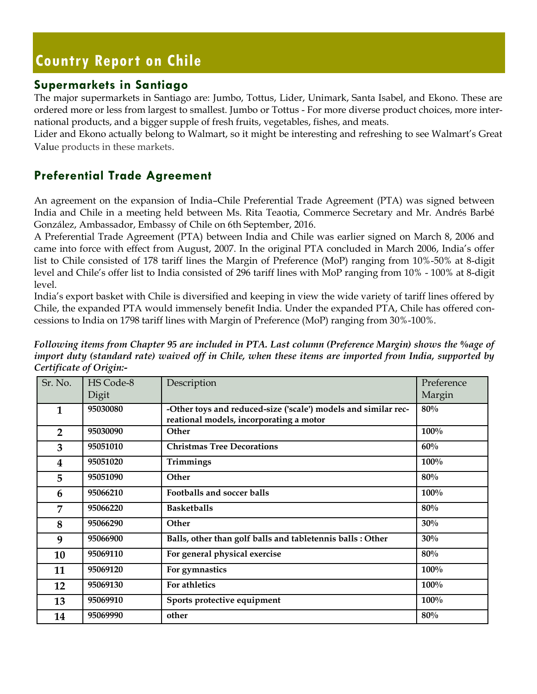#### **Supermarkets in Santiago**

The major supermarkets in Santiago are: Jumbo, Tottus, Lider, Unimark, Santa Isabel, and Ekono. These are ordered more or less from largest to smallest. Jumbo or Tottus - For more diverse product choices, more international products, and a bigger supple of fresh fruits, vegetables, fishes, and meats.

Lider and Ekono actually belong to Walmart, so it might be interesting and refreshing to see Walmart's Great Value products in these markets.

## **Preferential Trade Agreement**

An agreement on the expansion of India–Chile Preferential Trade Agreement (PTA) was signed between India and Chile in a meeting held between Ms. Rita Teaotia, Commerce Secretary and Mr. Andrés Barbé González, Ambassador, Embassy of Chile on 6th September, 2016.

A Preferential Trade Agreement (PTA) between India and Chile was earlier signed on March 8, 2006 and came into force with effect from August, 2007. In the original PTA concluded in March 2006, India's offer list to Chile consisted of 178 tariff lines the Margin of Preference (MoP) ranging from 10%-50% at 8-digit level and Chile's offer list to India consisted of 296 tariff lines with MoP ranging from 10% - 100% at 8-digit level.

India's export basket with Chile is diversified and keeping in view the wide variety of tariff lines offered by Chile, the expanded PTA would immensely benefit India. Under the expanded PTA, Chile has offered concessions to India on 1798 tariff lines with Margin of Preference (MoP) ranging from 30%-100%.

*Following items from Chapter 95 are included in PTA. Last column (Preference Margin) shows the %age of import duty (standard rate) waived off in Chile, when these items are imported from India, supported by Certificate of Origin:-*

| Sr. No.        | HS Code-8<br>Digit | Description                                                                                               | Preference<br>Margin |
|----------------|--------------------|-----------------------------------------------------------------------------------------------------------|----------------------|
| 1              | 95030080           | -Other toys and reduced-size ('scale') models and similar rec-<br>reational models, incorporating a motor | 80%                  |
| $\overline{2}$ | 95030090           | Other                                                                                                     | 100%                 |
| 3              | 95051010           | <b>Christmas Tree Decorations</b>                                                                         | 60%                  |
| 4              | 95051020           | Trimmings                                                                                                 | 100%                 |
| 5              | 95051090           | Other                                                                                                     | 80%                  |
| 6              | 95066210           | Footballs and soccer balls                                                                                | 100%                 |
| 7              | 95066220           | <b>Basketballs</b>                                                                                        | 80%                  |
| 8              | 95066290           | <b>Other</b>                                                                                              | 30%                  |
| 9              | 95066900           | Balls, other than golf balls and tabletennis balls : Other                                                | 30%                  |
| 10             | 95069110           | For general physical exercise                                                                             | 80%                  |
| 11             | 95069120           | For gymnastics                                                                                            | 100%                 |
| 12             | 95069130           | For athletics                                                                                             | 100%                 |
| 13             | 95069910           | Sports protective equipment                                                                               | 100%                 |
| 14             | 95069990           | other                                                                                                     | 80%                  |